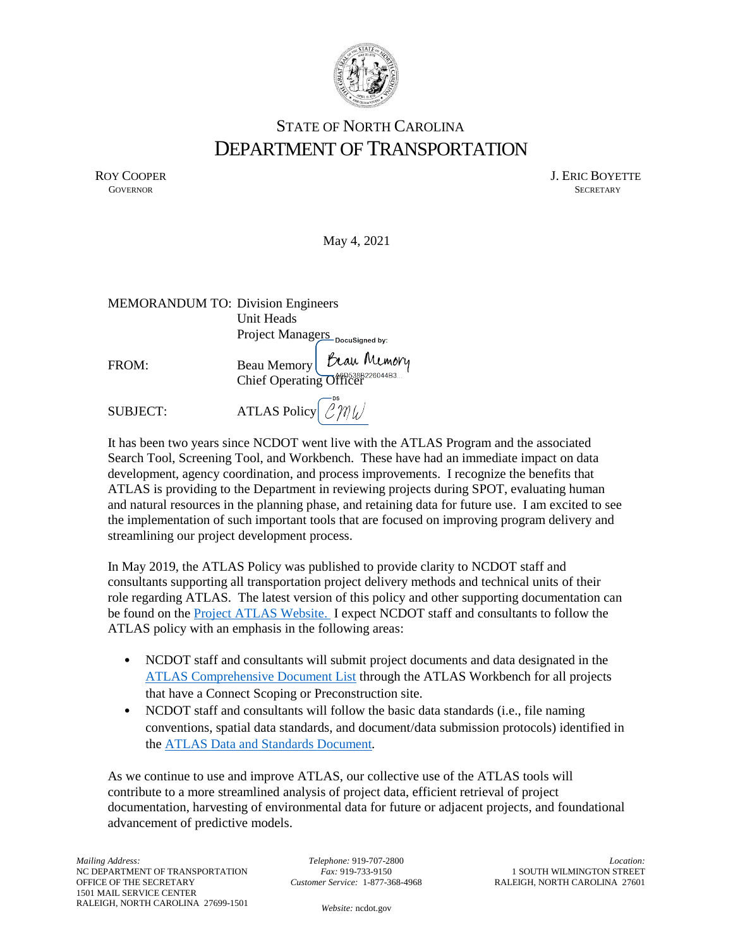

## STATE OF NORTH CAROLINA DEPARTMENT OF TRANSPORTATION

ROY COOPER J. ERIC BOYETTE GOVERNOR SECRETARY **GOVERNOR** SECRETARY

May 4, 2021

| <b>MEMORANDUM TO: Division Engineers</b> |                                 |                                                                              |
|------------------------------------------|---------------------------------|------------------------------------------------------------------------------|
|                                          | Unit Heads                      |                                                                              |
|                                          | Project Managers Docusigned by: |                                                                              |
| FROM:                                    |                                 | Beau Memory <i>Law Memory</i><br>Chief Operating Officer <sup>226044B3</sup> |
|                                          |                                 |                                                                              |

SUBJECT: ATLAS Policy  $\mathcal{LMU}$ 

It has been two years since NCDOT went live with the ATLAS Program and the associated Search Tool, Screening Tool, and Workbench. These have had an immediate impact on data development, agency coordination, and process improvements. I recognize the benefits that ATLAS is providing to the Department in reviewing projects during SPOT, evaluating human and natural resources in the planning phase, and retaining data for future use. I am excited to see the implementation of such important tools that are focused on improving program delivery and streamlining our project development process.

In May 2019, the ATLAS Policy was published to provide clarity to NCDOT staff and consultants supporting all transportation project delivery methods and technical units of their role regarding ATLAS. The latest version of this policy and other supporting documentation can be found on the [Project ATLAS Website.](https://connect.ncdot.gov/resources/Environmental/EAU/Project-Atlas/Pages/default.aspx) I expect NCDOT staff and consultants to follow the ATLAS policy with an emphasis in the following areas:

- NCDOT staff and consultants will submit project documents and data designated in the [ATLAS Comprehensive Document List](https://connect.ncdot.gov/resources/Environmental/EAU/Project-Atlas/Documents/ATLAS%20Comprehensive%20Document%20List.pdf) through the ATLAS Workbench for all projects that have a Connect Scoping or Preconstruction site.
- NCDOT staff and consultants will follow the basic data standards (i.e., file naming conventions, spatial data standards, and document/data submission protocols) identified in the [ATLAS Data and Standards Document](https://connect.ncdot.gov/resources/Environmental/EAU/Project-Atlas/Documents/ATLAS_Standards_Document_v1.12.pdf)*.*

As we continue to use and improve ATLAS, our collective use of the ATLAS tools will contribute to a more streamlined analysis of project data, efficient retrieval of project documentation, harvesting of environmental data for future or adjacent projects, and foundational advancement of predictive models.

*Telephone:* 919-707-2800 *Fax:* 919-733-9150 *Customer Service:* 1-877-368-4968

*Location:* 1 SOUTH WILMINGTON STREET RALEIGH, NORTH CAROLINA 27601

*Website:* [ncdot.gov](http://www.ncdot.gov/)